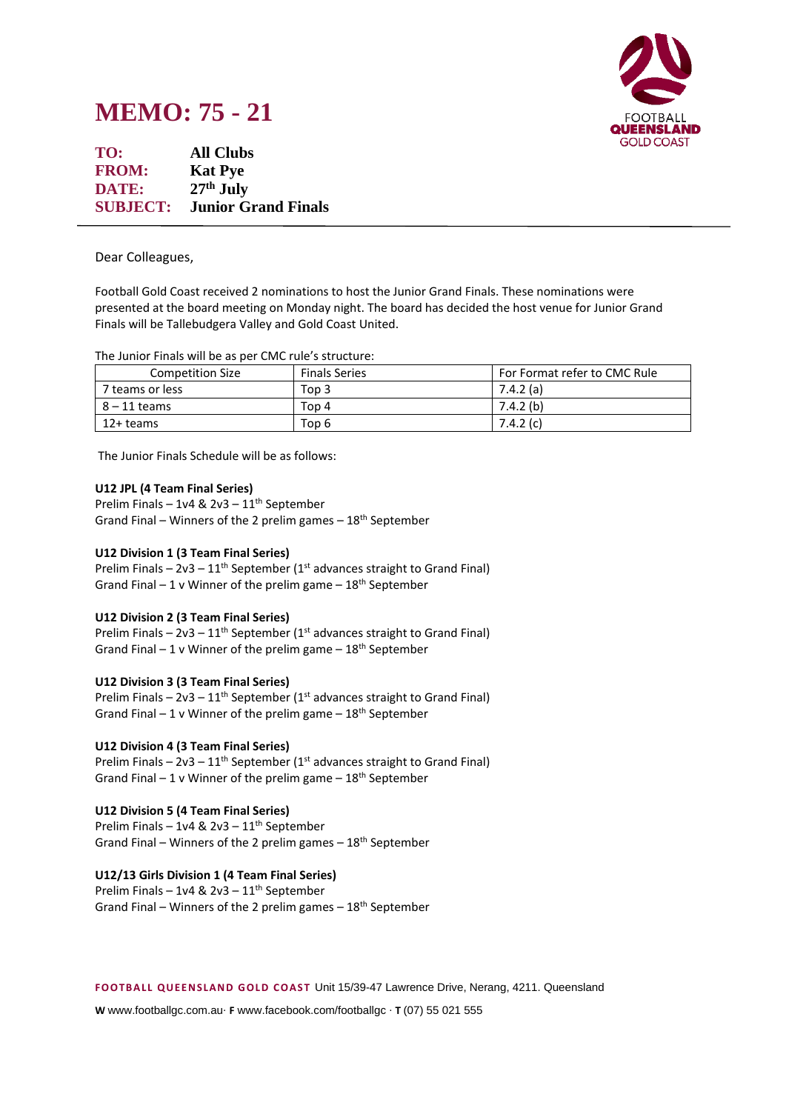# **MEMO: 75 - 21**



| TO:          | <b>All Clubs</b>                    |
|--------------|-------------------------------------|
| <b>FROM:</b> | <b>Kat Pye</b>                      |
| DATE:        | $27th$ July                         |
|              | <b>SUBJECT:</b> Junior Grand Finals |

#### Dear Colleagues,

Football Gold Coast received 2 nominations to host the Junior Grand Finals. These nominations were presented at the board meeting on Monday night. The board has decided the host venue for Junior Grand Finals will be Tallebudgera Valley and Gold Coast United.

The Junior Finals will be as per CMC rule's structure:

| <b>Competition Size</b> | <b>Finals Series</b> | For Format refer to CMC Rule |
|-------------------------|----------------------|------------------------------|
| 7 teams or less         | Top 3                | 7.4.2 (a)                    |
| 8 – 11 teams            | Top 4                | 7.4.2 (b)                    |
| 12+ teams               | Top 6                | 7.4.2(c)                     |

The Junior Finals Schedule will be as follows:

#### **U12 JPL (4 Team Final Series)**

Prelim Finals – 1v4 &  $2v3 - 11$ <sup>th</sup> September Grand Final – Winners of the 2 prelim games  $-18<sup>th</sup>$  September

#### **U12 Division 1 (3 Team Final Series)**

Prelim Finals –  $2v3 - 11$ <sup>th</sup> September ( $1<sup>st</sup>$  advances straight to Grand Final) Grand Final  $-1$  v Winner of the prelim game  $-18$ <sup>th</sup> September

#### **U12 Division 2 (3 Team Final Series)**

Prelim Finals –  $2v3 - 11$ <sup>th</sup> September ( $1<sup>st</sup>$  advances straight to Grand Final) Grand Final  $-1$  v Winner of the prelim game  $-18$ <sup>th</sup> September

#### **U12 Division 3 (3 Team Final Series)**

Prelim Finals –  $2v3 - 11$ <sup>th</sup> September ( $1<sup>st</sup>$  advances straight to Grand Final) Grand Final  $-1$  v Winner of the prelim game  $-18<sup>th</sup>$  September

#### **U12 Division 4 (3 Team Final Series)**

Prelim Finals –  $2v3 - 11^{th}$  September ( $1^{st}$  advances straight to Grand Final) Grand Final  $-1$  v Winner of the prelim game  $-18<sup>th</sup>$  September

#### **U12 Division 5 (4 Team Final Series)**

Prelim Finals – 1v4 &  $2v3 - 11$ <sup>th</sup> September Grand Final – Winners of the 2 prelim games  $-18<sup>th</sup>$  September

## **U12/13 Girls Division 1 (4 Team Final Series)**

Prelim Finals – 1v4 &  $2v3 - 11$ <sup>th</sup> September Grand Final – Winners of the 2 prelim games  $-18<sup>th</sup>$  September

**FOOTB ALL QUEEN SLAND G OLD COAST** Unit 15/39-47 Lawrence Drive, Nerang, 4211. Queensland

**W** www.footballgc.com.au. **F** www.facebook.com/footballgc . **T** (07) 55 021 555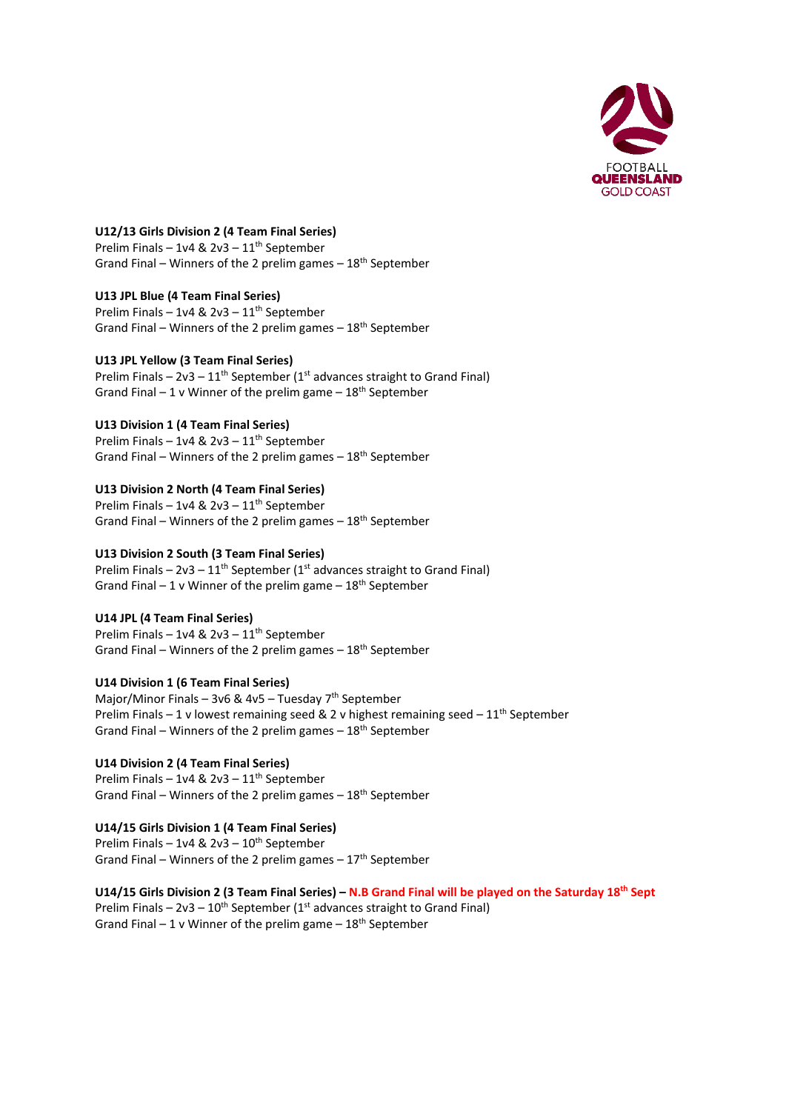

# **U12/13 Girls Division 2 (4 Team Final Series)** Prelim Finals – 1v4 &  $2v3 - 11$ <sup>th</sup> September

Grand Final – Winners of the 2 prelim games  $-18<sup>th</sup>$  September

**U13 JPL Blue (4 Team Final Series)** Prelim Finals – 1v4 &  $2v3 - 11$ <sup>th</sup> September Grand Final – Winners of the 2 prelim games  $-18<sup>th</sup>$  September

## **U13 JPL Yellow (3 Team Final Series)**

Prelim Finals –  $2v3 - 11$ <sup>th</sup> September ( $1<sup>st</sup>$  advances straight to Grand Final) Grand Final  $-1$  v Winner of the prelim game  $-18$ <sup>th</sup> September

## **U13 Division 1 (4 Team Final Series)**

Prelim Finals – 1v4 &  $2v3 - 11$ <sup>th</sup> September Grand Final – Winners of the 2 prelim games  $-18<sup>th</sup>$  September

## **U13 Division 2 North (4 Team Final Series)**

Prelim Finals – 1v4 &  $2v3 - 11$ <sup>th</sup> September Grand Final – Winners of the 2 prelim games  $-18<sup>th</sup>$  September

## **U13 Division 2 South (3 Team Final Series)**

Prelim Finals –  $2v3 - 11^{th}$  September ( $1^{st}$  advances straight to Grand Final) Grand Final  $-1$  v Winner of the prelim game  $-18$ <sup>th</sup> September

## **U14 JPL (4 Team Final Series)**

Prelim Finals – 1v4 &  $2v3 - 11$ <sup>th</sup> September Grand Final – Winners of the 2 prelim games  $-18<sup>th</sup>$  September

## **U14 Division 1 (6 Team Final Series)**

Major/Minor Finals - 3v6 & 4v5 - Tuesday 7<sup>th</sup> September Prelim Finals – 1 v lowest remaining seed & 2 v highest remaining seed –  $11^{th}$  September Grand Final – Winners of the 2 prelim games  $-18<sup>th</sup>$  September

## **U14 Division 2 (4 Team Final Series)**

Prelim Finals – 1v4 &  $2v3 - 11$ <sup>th</sup> September Grand Final – Winners of the 2 prelim games  $-18<sup>th</sup>$  September

## **U14/15 Girls Division 1 (4 Team Final Series)**

Prelim Finals –  $1v4$  &  $2v3 - 10$ <sup>th</sup> September Grand Final – Winners of the 2 prelim games  $-17<sup>th</sup>$  September

**U14/15 Girls Division 2 (3 Team Final Series) – N.B Grand Final will be played on the Saturday 18th Sept** Prelim Finals  $-2v3 - 10^{th}$  September (1st advances straight to Grand Final) Grand Final  $-1$  v Winner of the prelim game  $-18$ <sup>th</sup> September